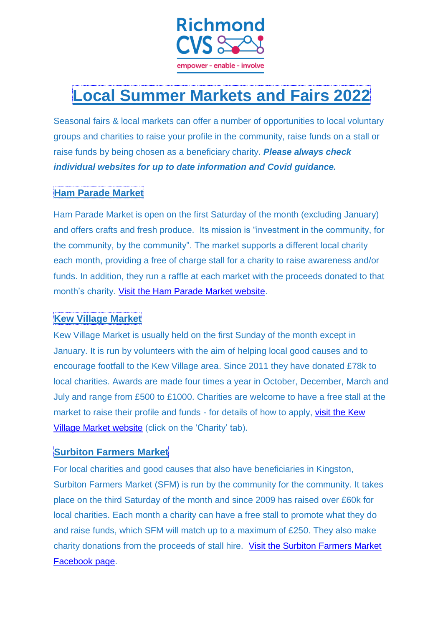

# **Local Summer Markets and Fairs 2022**

Seasonal fairs & local markets can offer a number of opportunities to local voluntary groups and charities to raise your profile in the community, raise funds on a stall or raise funds by being chosen as a beneficiary charity. *Please always check individual websites for up to date information and Covid guidance.*

# **Ham Parade Market**

Ham Parade Market is open on the first Saturday of the month (excluding January) and offers crafts and fresh produce. Its mission is "investment in the community, for the community, by the community". The market supports a different local charity each month, providing a free of charge stall for a charity to raise awareness and/or funds. In addition, they run a raffle at each market with the proceeds donated to that month's charity. [Visit the Ham Parade Market website.](http://www.hamparademarket.org/)

# **Kew Village Market**

Kew Village Market is usually held on the first Sunday of the month except in January. It is run by volunteers with the aim of helping local good causes and to encourage footfall to the Kew Village area. Since 2011 they have donated £78k to local charities. Awards are made four times a year in October, December, March and July and range from £500 to £1000. Charities are welcome to have a free stall at the market to raise their profile and funds - for details of how to apply, visit [the Kew](http://www.kewvillagemarket.org/)  [Village Market website](http://www.kewvillagemarket.org/) (click on the 'Charity' tab).

# **Surbiton Farmers Market**

For local charities and good causes that also have beneficiaries in Kingston, Surbiton Farmers Market (SFM) is run by the community for the community. It takes place on the third Saturday of the month and since 2009 has raised over £60k for local charities. Each month a charity can have a free stall to promote what they do and raise funds, which SFM will match up to a maximum of £250. They also make charity donations from the proceeds of stall hire. [Visit the Surbiton Farmers Market](https://www.facebook.com/SurbitonFarmersMarket)  [Facebook page.](https://www.facebook.com/SurbitonFarmersMarket)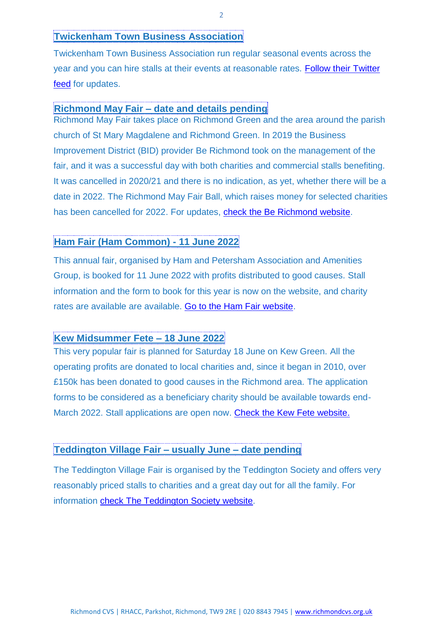#### **Twickenham Town Business Association**

Twickenham Town Business Association run regular seasonal events across the year and you can hire stalls at their events at reasonable rates. Follow their Twitter [feed](https://twitter.com/twicktownbiz) for updates.

#### **Richmond May Fair – date and details pending**

Richmond May Fair takes place on Richmond Green and the area around the parish church of St Mary Magdalene and Richmond Green. In 2019 the Business Improvement District (BID) provider Be Richmond took on the management of the fair, and it was a successful day with both charities and commercial stalls benefiting. It was cancelled in 2020/21 and there is no indication, as yet, whether there will be a date in 2022. The Richmond May Fair Ball, which raises money for selected charities has been cancelled for 2022. For updates, [check the Be Richmond website.](https://berichmond.london/)

### **Ham Fair (Ham Common) - 11 June 2022**

This annual fair, organised by Ham and Petersham Association and Amenities Group, is booked for 11 June 2022 with profits distributed to good causes. Stall information and the form to book for this year is now on the website, and charity rates are available are available. [Go to the Ham Fair website.](http://hamandpetersham.com/stall-holder-information)

#### **Kew Midsummer Fete – 18 June 2022**

This very popular fair is planned for Saturday 18 June on Kew Green. All the operating profits are donated to local charities and, since it began in 2010, over £150k has been donated to good causes in the Richmond area. The application forms to be considered as a beneficiary charity should be available towards end-March 2022. Stall applications are open now. [Check the Kew Fete website.](https://kewfete.org/)

## **Teddington Village Fair – usually June – date pending**

The Teddington Village Fair is organised by the Teddington Society and offers very reasonably priced stalls to charities and a great day out for all the family. For information [check The Teddington Society website.](http://www.teddingtonsociety.org.uk/)

2